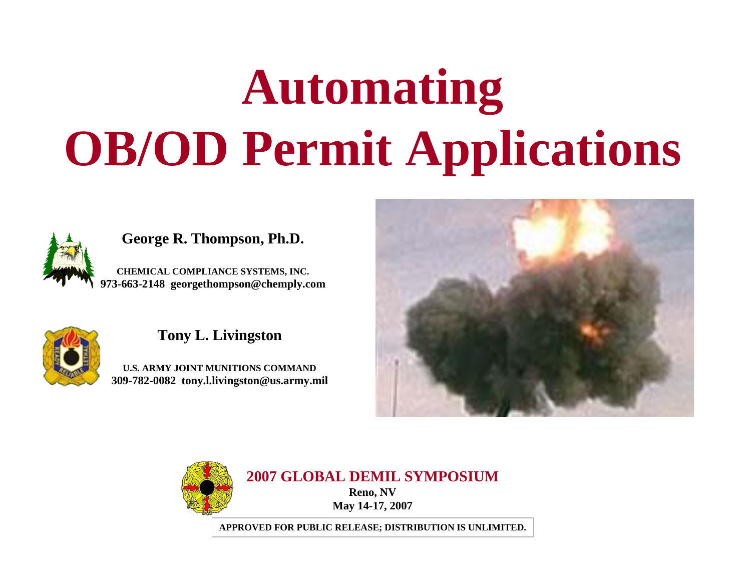# **Automating OB/OD Permit Applications**



#### **George R. Thompson, Ph.D.**

**CHEMICAL COMPLIANCE SYSTEMS, INC. 973-663-2148 georgethompson@chemply.com**



#### **Tony L. Livingston**

**U.S. ARMY JOINT MUNITIONS COMMAND309-782-0082 tony.l.livingston@us.army.mil**





**2007 GLOBAL DEMIL SYMPOSIUMReno, NV**

**May 14-17, 2007**

**APPROVED FOR PUBLIC RELEASE; DISTRIBUTION IS UNLIMITED.**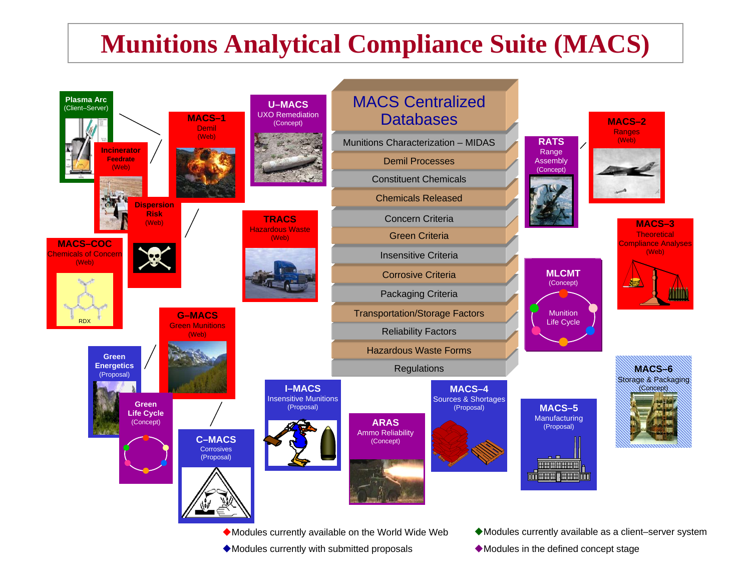# **Munitions Analytical Compliance Suite (MACS)**



- Modules currently with submitted proposals
- 
- Modules in the defined concept stage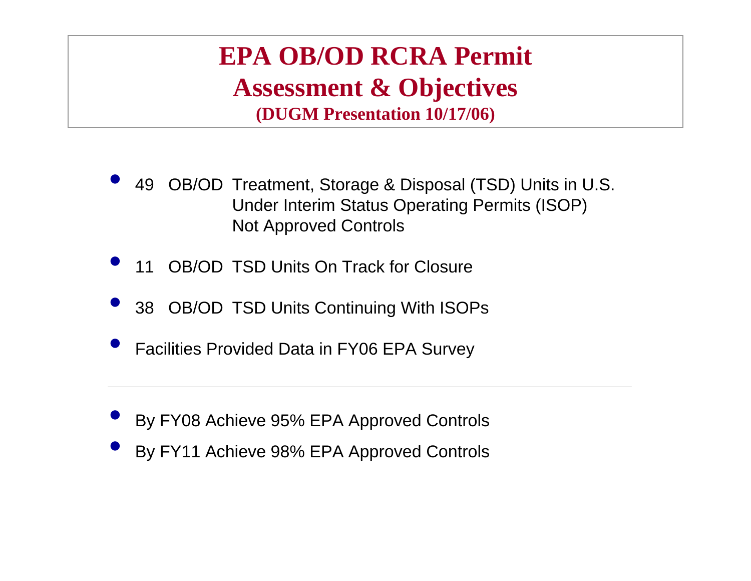## **EPA OB/OD RCRA Permit Assessment & Objectives (DUGM Presentation 10/17/06)**

- <sup>2</sup> 49 OB/OD Treatment, Storage & Disposal (TSD) Units in U.S. Under Interim Status Operating Permits (ISOP) Not Approved Controls  $\bullet$
- **The 11 OB/OD TSD Units On Track for Closure**  $\bullet$
- **38 OB/OD TSD Units Continuing With ISOPs**  $\bullet$
- $\bullet$ Facilities Provided Data in FY06 EPA Survey
- $\bullet$ By FY08 Achieve 95% EPA Approved Controls
- $\bullet$ By FY11 Achieve 98% EPA Approved Controls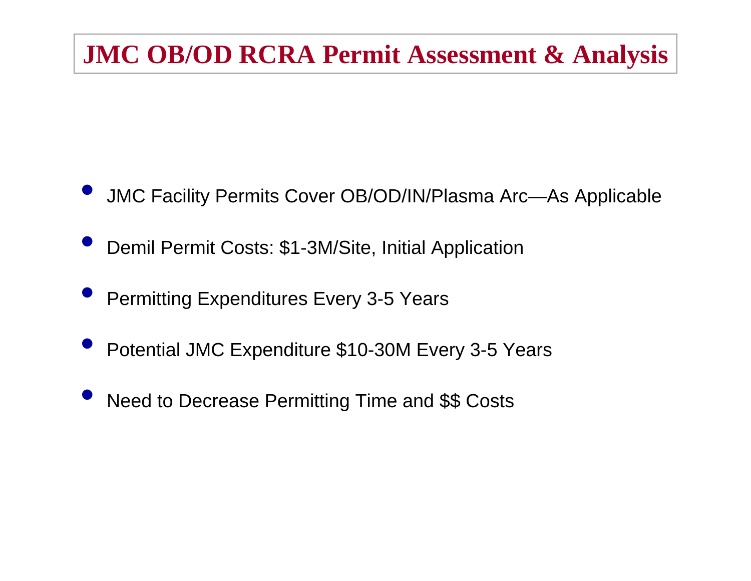# **JMC OB/OD RCRA Permit Assessment & Analysis**

- $\bullet$ JMC Facility Permits Cover OB/OD/IN/Plasma Arc—As Applicable
- $\bullet$ Demil Permit Costs: \$1-3M/Site, Initial Application
- $\bullet$ Permitting Expenditures Every 3-5 Years
- $\bullet$ Potential JMC Expenditure \$10-30M Every 3-5 Years
- $\bullet$ Need to Decrease Permitting Time and \$\$ Costs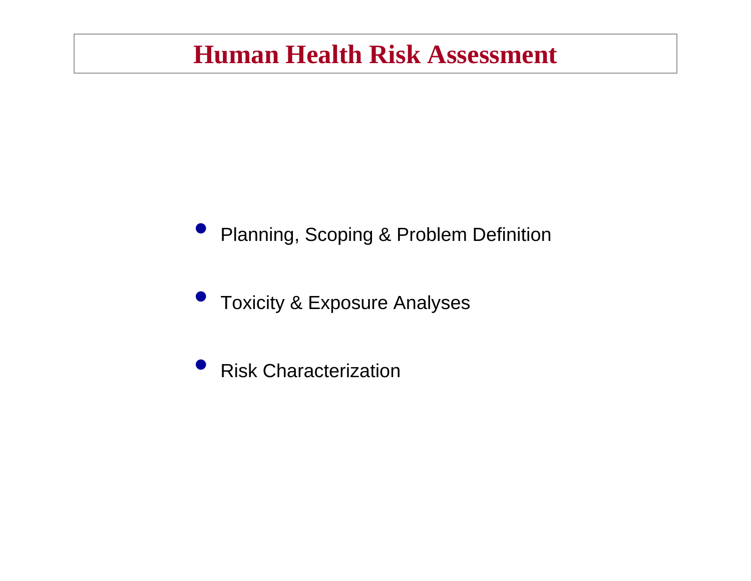# **Human Health Risk Assessment**

#### $\bullet$ Planning, Scoping & Problem Definition

 $\bullet$ Toxicity & Exposure Analyses

 $\bullet$ Risk Characterization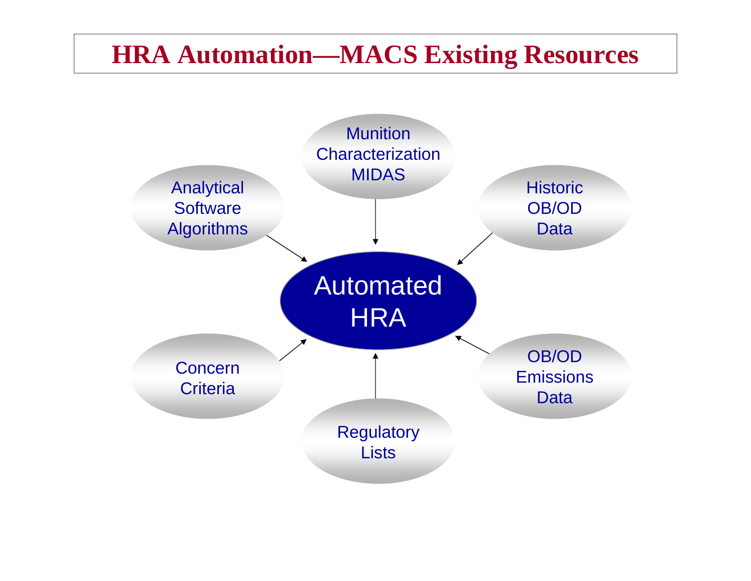# **HRA Automation—MACS Existing Resources**

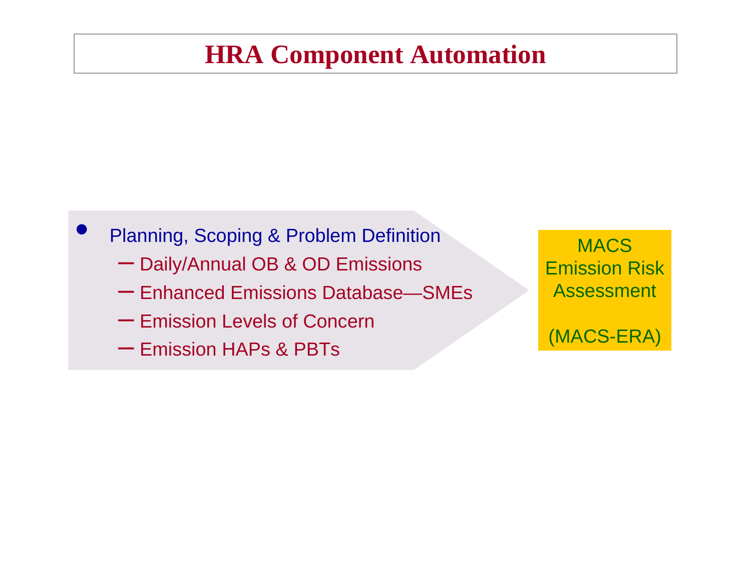# **HRA Component Automation**

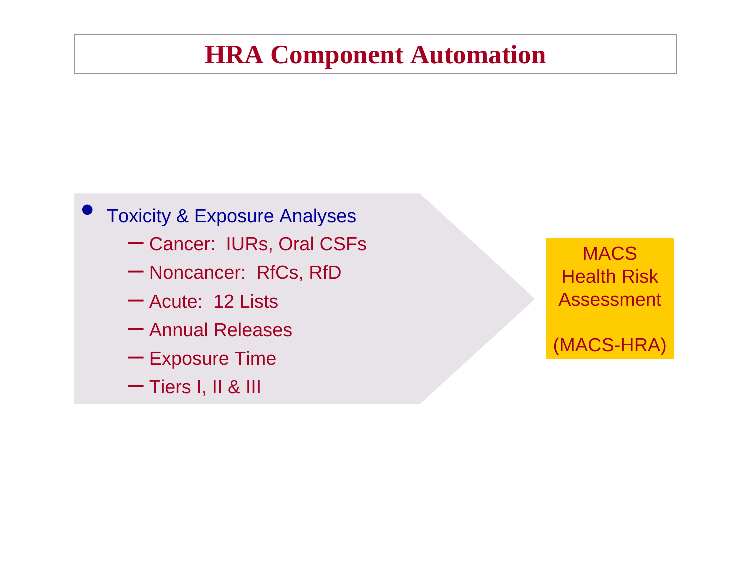# **HRA Component Automation**

## $\bullet$  Toxicity & Exposure Analyses – Cancer: IURs, Oral CSFs – Noncancer: RfCs, RfD – Acute: 12 Lists – Annual Releases  $-$  Exposure Time

– Tiers I, II & III

MACS Health RiskAssessment

(MACS-HRA)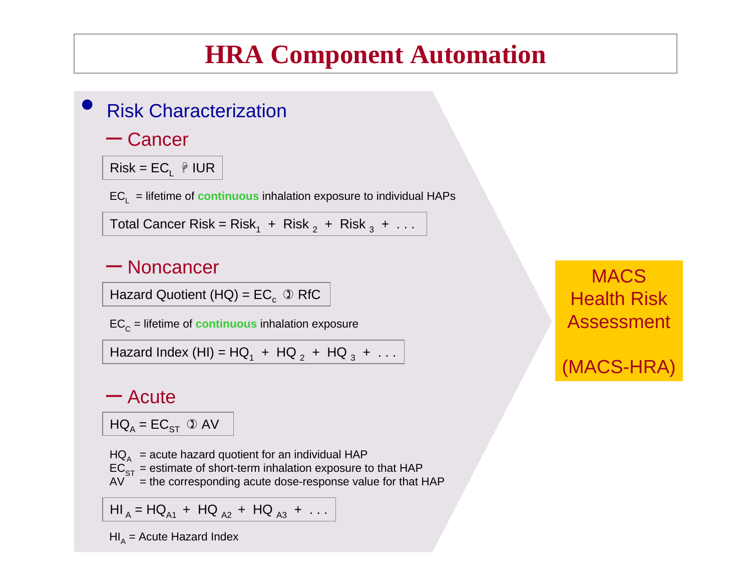# **HRA Component Automation**

#### $\bullet$ **Risk Characterization**

## – Cancer

Risk = ECL + IUR

ECL = lifetime of **continuous** inhalation exposure to individual HAPs

Total Cancer Risk = Risk $_1$  + Risk  $_2$  + Risk  $_3$  +  $\dots$ 

## – Noncancer

Hazard Quotient (HQ) =  $EC<sub>c</sub> \mathcal{D}$  RfC

EC<sub>C</sub> = lifetime of **continuous** inhalation exposure

Hazard Index (HI) = HQ<sub>1</sub> + HQ <sub>2</sub> + HQ <sub>3</sub> +  $\dots$ 

### – Acute

 $\mathsf{HQ}_\mathsf{A} = \mathsf{EC}_{\mathsf{ST}}$   $\mathbb O$  AV

HQ $_{\rm_\text{A}}\,$  = acute hazard quotient for an individual HAP

 $\mathsf{EC}_{\mathsf{ST}}$  = estimate of short-term inhalation exposure to that HAP

 $AV =$  the corresponding acute dose-response value for that HAP

HI  $_{\sf A}$  = HQ  $_{\sf A1}$  + HQ  $_{\sf A2}$  + HQ  $_{\sf A3}$  +  $\ldots$ 

HI<sub>A</sub> = Acute Hazard Index

**MACS** Health RiskAssessment

(MACS-HRA)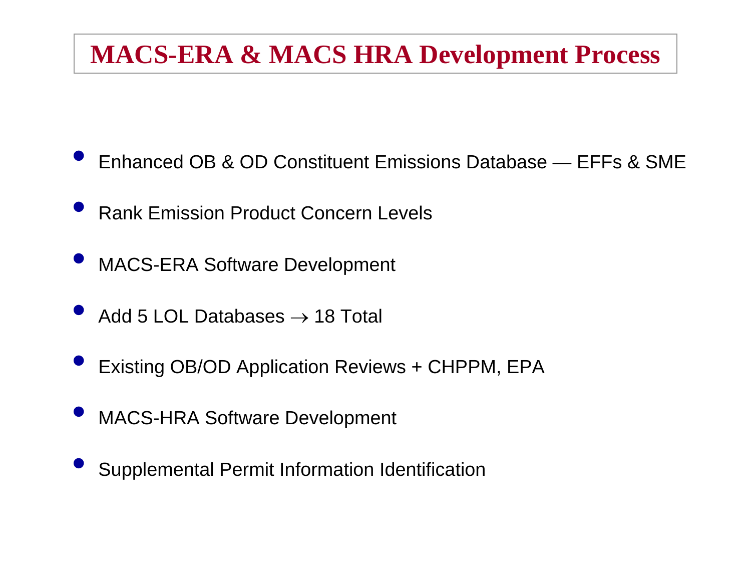# **MACS-ERA & MACS HRA Development Process**

 $\bullet$ Enhanced OB & OD Constituent Emissions Database — EFFs & SME

- $\bullet$ **• Rank Emission Product Concern Levels**
- $\bullet$ MACS-ERA Software Development
- $\bullet$  $\bullet$  Add 5 LOL Databases  $\rightarrow$  18 Total
- $\bullet$ Existing OB/OD Application Reviews + CHPPM, EPA
- $\bullet$ MACS-HRA Software Development
- $\bullet$ Supplemental Permit Information Identification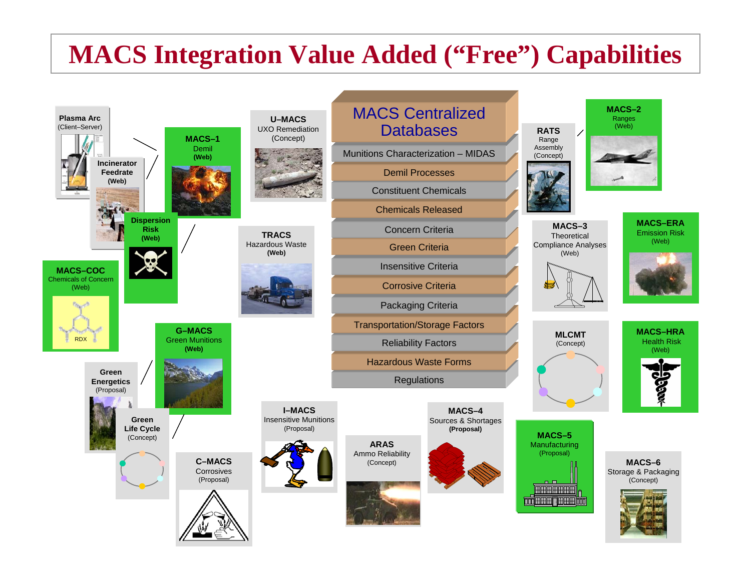# **MACS Integration Value Added ("Free") Capabilities**